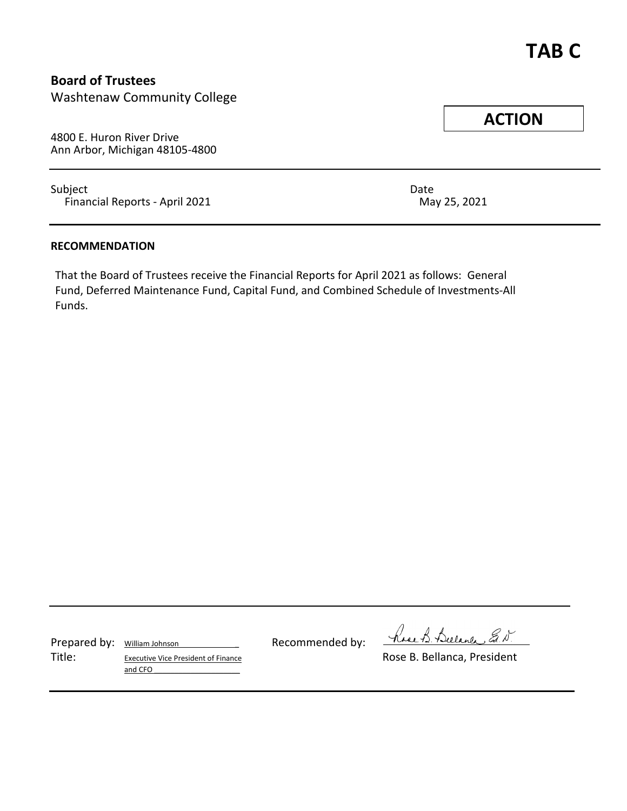# **Board of Trustees**

Washtenaw Community College

4800 E. Huron River Drive Ann Arbor, Michigan 48105-4800

Subject **Date** Financial Reports - April 2021 May 25, 2021

### **RECOMMENDATION**

That the Board of Trustees receive the Financial Reports for April 2021 as follows: General Fund, Deferred Maintenance Fund, Capital Fund, and Combined Schedule of Investments-All Funds.

Prepared by: William Johnson Recommended by:

Title: Executive Vice President of Finance **Executive Vice President** Conservative Vice President and CFO

have B. Bulance E. N.

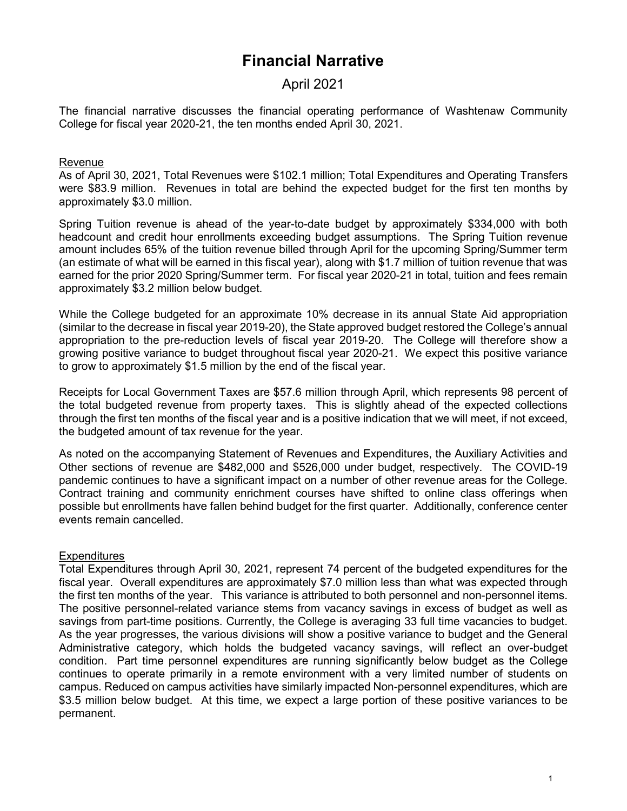# **Financial Narrative**

# April 2021

The financial narrative discusses the financial operating performance of Washtenaw Community College for fiscal year 2020-21, the ten months ended April 30, 2021.

# Revenue

As of April 30, 2021, Total Revenues were \$102.1 million; Total Expenditures and Operating Transfers were \$83.9 million. Revenues in total are behind the expected budget for the first ten months by approximately \$3.0 million.

Spring Tuition revenue is ahead of the year-to-date budget by approximately \$334,000 with both headcount and credit hour enrollments exceeding budget assumptions. The Spring Tuition revenue amount includes 65% of the tuition revenue billed through April for the upcoming Spring/Summer term (an estimate of what will be earned in this fiscal year), along with \$1.7 million of tuition revenue that was earned for the prior 2020 Spring/Summer term. For fiscal year 2020-21 in total, tuition and fees remain approximately \$3.2 million below budget.

While the College budgeted for an approximate 10% decrease in its annual State Aid appropriation (similar to the decrease in fiscal year 2019-20), the State approved budget restored the College's annual appropriation to the pre-reduction levels of fiscal year 2019-20. The College will therefore show a growing positive variance to budget throughout fiscal year 2020-21. We expect this positive variance to grow to approximately \$1.5 million by the end of the fiscal year.

Receipts for Local Government Taxes are \$57.6 million through April, which represents 98 percent of the total budgeted revenue from property taxes. This is slightly ahead of the expected collections through the first ten months of the fiscal year and is a positive indication that we will meet, if not exceed, the budgeted amount of tax revenue for the year.

As noted on the accompanying Statement of Revenues and Expenditures, the Auxiliary Activities and Other sections of revenue are \$482,000 and \$526,000 under budget, respectively. The COVID-19 pandemic continues to have a significant impact on a number of other revenue areas for the College. Contract training and community enrichment courses have shifted to online class offerings when possible but enrollments have fallen behind budget for the first quarter. Additionally, conference center events remain cancelled.

### **Expenditures**

Total Expenditures through April 30, 2021, represent 74 percent of the budgeted expenditures for the fiscal year. Overall expenditures are approximately \$7.0 million less than what was expected through the first ten months of the year. This variance is attributed to both personnel and non-personnel items. The positive personnel-related variance stems from vacancy savings in excess of budget as well as savings from part-time positions. Currently, the College is averaging 33 full time vacancies to budget. As the year progresses, the various divisions will show a positive variance to budget and the General Administrative category, which holds the budgeted vacancy savings, will reflect an over-budget condition. Part time personnel expenditures are running significantly below budget as the College continues to operate primarily in a remote environment with a very limited number of students on campus. Reduced on campus activities have similarly impacted Non-personnel expenditures, which are \$3.5 million below budget. At this time, we expect a large portion of these positive variances to be permanent.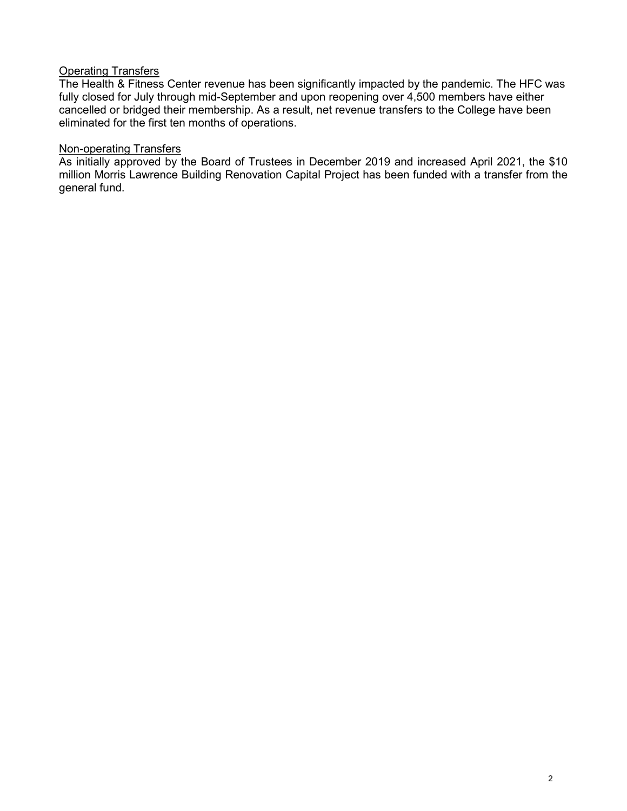## Operating Transfers

The Health & Fitness Center revenue has been significantly impacted by the pandemic. The HFC was fully closed for July through mid-September and upon reopening over 4,500 members have either cancelled or bridged their membership. As a result, net revenue transfers to the College have been eliminated for the first ten months of operations.

## Non-operating Transfers

As initially approved by the Board of Trustees in December 2019 and increased April 2021, the \$10 million Morris Lawrence Building Renovation Capital Project has been funded with a transfer from the general fund.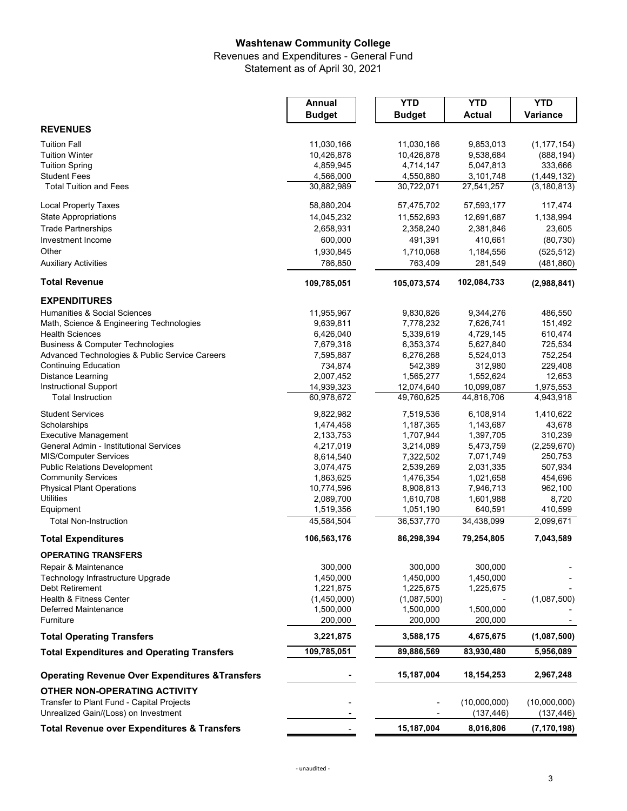### **Washtenaw Community College**

Revenues and Expenditures - General Fund

Statement as of April 30, 2021

|                                                            | Annual        | <b>YTD</b>    | <b>YTD</b>    | <b>YTD</b>    |
|------------------------------------------------------------|---------------|---------------|---------------|---------------|
|                                                            | <b>Budget</b> | <b>Budget</b> | <b>Actual</b> | Variance      |
| <b>REVENUES</b>                                            |               |               |               |               |
| <b>Tuition Fall</b>                                        | 11,030,166    | 11,030,166    | 9,853,013     | (1, 177, 154) |
| <b>Tuition Winter</b>                                      | 10,426,878    | 10,426,878    | 9,538,684     | (888, 194)    |
| <b>Tuition Spring</b>                                      | 4,859,945     | 4,714,147     | 5,047,813     | 333,666       |
| <b>Student Fees</b>                                        | 4,566,000     | 4,550,880     | 3,101,748     | (1,449,132)   |
| <b>Total Tuition and Fees</b>                              | 30,882,989    | 30,722,071    | 27,541,257    | (3, 180, 813) |
| <b>Local Property Taxes</b>                                | 58,880,204    | 57,475,702    | 57,593,177    | 117,474       |
| <b>State Appropriations</b>                                | 14,045,232    | 11,552,693    | 12,691,687    | 1,138,994     |
| <b>Trade Partnerships</b>                                  | 2,658,931     | 2,358,240     | 2,381,846     | 23,605        |
| Investment Income                                          | 600,000       | 491,391       | 410,661       | (80, 730)     |
| Other                                                      | 1,930,845     | 1,710,068     | 1,184,556     | (525, 512)    |
| <b>Auxiliary Activities</b>                                | 786,850       | 763,409       | 281,549       | (481, 860)    |
| <b>Total Revenue</b>                                       | 109,785,051   | 105,073,574   | 102,084,733   | (2,988,841)   |
|                                                            |               |               |               |               |
| <b>EXPENDITURES</b><br>Humanities & Social Sciences        | 11,955,967    | 9,830,826     | 9,344,276     | 486,550       |
| Math, Science & Engineering Technologies                   | 9,639,811     | 7,778,232     | 7,626,741     | 151,492       |
| <b>Health Sciences</b>                                     | 6,426,040     | 5,339,619     | 4,729,145     | 610,474       |
| <b>Business &amp; Computer Technologies</b>                | 7,679,318     | 6,353,374     | 5,627,840     | 725,534       |
| Advanced Technologies & Public Service Careers             | 7,595,887     | 6,276,268     | 5,524,013     | 752,254       |
| <b>Continuing Education</b>                                | 734,874       | 542,389       | 312,980       | 229,408       |
| Distance Learning                                          | 2,007,452     | 1,565,277     | 1,552,624     | 12,653        |
| <b>Instructional Support</b>                               | 14,939,323    | 12,074,640    | 10,099,087    | 1,975,553     |
| <b>Total Instruction</b>                                   | 60,978,672    | 49,760,625    | 44,816,706    | 4,943,918     |
| <b>Student Services</b>                                    | 9,822,982     | 7,519,536     | 6,108,914     | 1,410,622     |
| Scholarships                                               | 1,474,458     | 1,187,365     | 1,143,687     | 43,678        |
| <b>Executive Management</b>                                | 2,133,753     | 1,707,944     | 1,397,705     | 310,239       |
| General Admin - Institutional Services                     | 4,217,019     | 3,214,089     | 5,473,759     | (2,259,670)   |
| <b>MIS/Computer Services</b>                               | 8,614,540     | 7,322,502     | 7,071,749     | 250,753       |
| <b>Public Relations Development</b>                        | 3,074,475     | 2,539,269     | 2,031,335     | 507,934       |
| <b>Community Services</b>                                  | 1,863,625     | 1,476,354     | 1,021,658     | 454,696       |
| <b>Physical Plant Operations</b>                           | 10,774,596    | 8,908,813     | 7,946,713     | 962,100       |
| <b>Utilities</b>                                           | 2,089,700     | 1,610,708     | 1,601,988     | 8,720         |
| Equipment                                                  | 1,519,356     | 1,051,190     | 640,591       | 410,599       |
| <b>Total Non-Instruction</b>                               | 45,584,504    | 36,537,770    | 34,438,099    | 2,099,671     |
| <b>Total Expenditures</b>                                  | 106,563,176   | 86,298,394    | 79,254,805    | 7,043,589     |
| <b>OPERATING TRANSFERS</b>                                 |               |               |               |               |
| Repair & Maintenance                                       | 300,000       | 300,000       | 300,000       |               |
| Technology Infrastructure Upgrade                          | 1,450,000     | 1,450,000     | 1,450,000     |               |
| <b>Debt Retirement</b>                                     | 1,221,875     | 1,225,675     | 1,225,675     |               |
| <b>Health &amp; Fitness Center</b>                         | (1,450,000)   | (1,087,500)   |               | (1,087,500)   |
| Deferred Maintenance                                       | 1,500,000     | 1,500,000     | 1,500,000     |               |
| Furniture                                                  | 200,000       | 200,000       | 200,000       |               |
| <b>Total Operating Transfers</b>                           | 3,221,875     | 3,588,175     | 4,675,675     | (1,087,500)   |
| <b>Total Expenditures and Operating Transfers</b>          | 109,785,051   | 89,886,569    | 83,930,480    | 5,956,089     |
| <b>Operating Revenue Over Expenditures &amp; Transfers</b> |               | 15,187,004    | 18,154,253    | 2,967,248     |
| <b>OTHER NON-OPERATING ACTIVITY</b>                        |               |               |               |               |
| Transfer to Plant Fund - Capital Projects                  |               |               | (10,000,000)  | (10,000,000)  |
| Unrealized Gain/(Loss) on Investment                       |               |               | (137, 446)    | (137, 446)    |
|                                                            |               |               |               |               |
| <b>Total Revenue over Expenditures &amp; Transfers</b>     |               | 15,187,004    | 8,016,806     | (7, 170, 198) |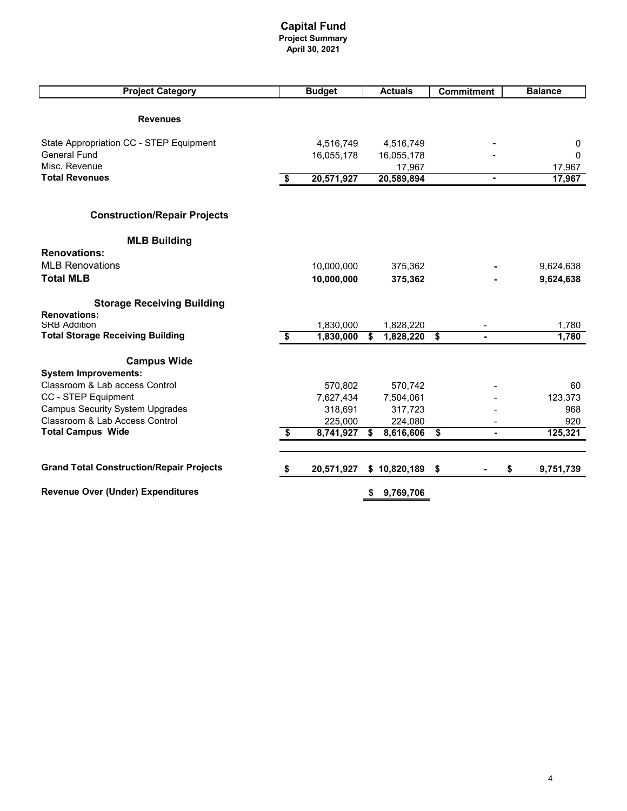#### **Capital Fund Project Summary April 30, 2021**

| <b>Project Category</b>                         |      | <b>Budget</b> |    | <b>Actuals</b> | <b>Commitment</b> |    | <b>Balance</b> |
|-------------------------------------------------|------|---------------|----|----------------|-------------------|----|----------------|
|                                                 |      |               |    |                |                   |    |                |
| <b>Revenues</b>                                 |      |               |    |                |                   |    |                |
|                                                 |      |               |    |                |                   |    |                |
| State Appropriation CC - STEP Equipment         |      | 4,516,749     |    | 4,516,749      |                   |    | 0              |
| <b>General Fund</b>                             |      | 16,055,178    |    | 16,055,178     |                   |    | $\Omega$       |
| Misc. Revenue                                   |      |               |    | 17,967         |                   |    | 17,967         |
| <b>Total Revenues</b>                           | - \$ | 20,571,927    |    | 20,589,894     |                   |    | 17,967         |
|                                                 |      |               |    |                |                   |    |                |
| <b>Construction/Repair Projects</b>             |      |               |    |                |                   |    |                |
| <b>MLB Building</b>                             |      |               |    |                |                   |    |                |
| <b>Renovations:</b>                             |      |               |    |                |                   |    |                |
| <b>MLB Renovations</b>                          |      | 10,000,000    |    | 375,362        |                   |    | 9,624,638      |
| <b>Total MLB</b>                                |      | 10,000,000    |    | 375,362        |                   |    | 9,624,638      |
| <b>Storage Receiving Building</b>               |      |               |    |                |                   |    |                |
| <b>Renovations:</b>                             |      |               |    |                |                   |    |                |
| <b>SRB Addition</b>                             |      | 1,830,000     |    | 1,828,220      |                   |    | 1,780          |
| <b>Total Storage Receiving Building</b>         | \$   | 1,830,000     | \$ | 1,828,220      | \$                |    | 1,780          |
| <b>Campus Wide</b>                              |      |               |    |                |                   |    |                |
| <b>System Improvements:</b>                     |      |               |    |                |                   |    |                |
| Classroom & Lab access Control                  |      | 570,802       |    | 570,742        |                   |    | 60             |
| CC - STEP Equipment                             |      | 7,627,434     |    | 7,504,061      |                   |    | 123,373        |
| <b>Campus Security System Upgrades</b>          |      | 318,691       |    | 317,723        |                   |    | 968            |
| Classroom & Lab Access Control                  |      | 225,000       |    | 224,080        |                   |    | 920            |
| <b>Total Campus Wide</b>                        | \$   | 8,741,927     | S  | 8,616,606      | \$                |    | 125,321        |
| <b>Grand Total Construction/Repair Projects</b> |      |               |    |                |                   |    |                |
|                                                 | \$   | 20,571,927    |    | \$10,820,189   | \$                | \$ | 9,751,739      |
| <b>Revenue Over (Under) Expenditures</b>        |      |               | \$ | 9,769,706      |                   |    |                |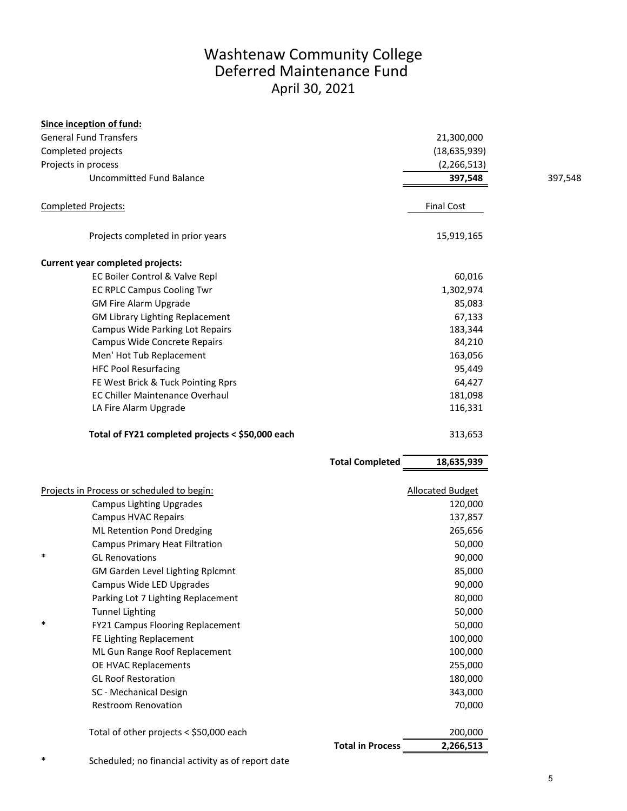# Washtenaw Community College Deferred Maintenance Fund April 30, 2021

|                                                  | Since inception of fund:                   |                         |                         |         |
|--------------------------------------------------|--------------------------------------------|-------------------------|-------------------------|---------|
|                                                  | <b>General Fund Transfers</b>              |                         | 21,300,000              |         |
|                                                  | Completed projects                         |                         | (18, 635, 939)          |         |
| Projects in process                              |                                            |                         | (2, 266, 513)           |         |
|                                                  | Uncommitted Fund Balance                   |                         | 397,548                 | 397,548 |
|                                                  | <b>Completed Projects:</b>                 |                         | <b>Final Cost</b>       |         |
|                                                  | Projects completed in prior years          |                         | 15,919,165              |         |
|                                                  | Current year completed projects:           |                         |                         |         |
|                                                  | EC Boiler Control & Valve Repl             |                         | 60,016                  |         |
|                                                  | <b>EC RPLC Campus Cooling Twr</b>          |                         | 1,302,974               |         |
|                                                  | <b>GM Fire Alarm Upgrade</b>               |                         | 85,083                  |         |
|                                                  | <b>GM Library Lighting Replacement</b>     |                         | 67,133                  |         |
|                                                  | <b>Campus Wide Parking Lot Repairs</b>     |                         | 183,344                 |         |
|                                                  | Campus Wide Concrete Repairs               |                         | 84,210                  |         |
|                                                  | Men' Hot Tub Replacement                   |                         | 163,056                 |         |
|                                                  | <b>HFC Pool Resurfacing</b>                |                         | 95,449                  |         |
|                                                  | FE West Brick & Tuck Pointing Rprs         |                         | 64,427                  |         |
|                                                  | <b>EC Chiller Maintenance Overhaul</b>     |                         | 181,098                 |         |
|                                                  | LA Fire Alarm Upgrade                      |                         | 116,331                 |         |
| Total of FY21 completed projects < \$50,000 each |                                            |                         | 313,653                 |         |
|                                                  |                                            | <b>Total Completed</b>  | 18,635,939              |         |
|                                                  | Projects in Process or scheduled to begin: |                         | <b>Allocated Budget</b> |         |
|                                                  | <b>Campus Lighting Upgrades</b>            |                         | 120,000                 |         |
|                                                  | <b>Campus HVAC Repairs</b>                 |                         | 137,857                 |         |
|                                                  | ML Retention Pond Dredging                 |                         | 265,656                 |         |
|                                                  | <b>Campus Primary Heat Filtration</b>      |                         | 50,000                  |         |
| $\ast$                                           | <b>GL Renovations</b>                      |                         | 90,000                  |         |
|                                                  | GM Garden Level Lighting Rplcmnt           |                         | 85,000                  |         |
|                                                  | Campus Wide LED Upgrades                   |                         | 90,000                  |         |
|                                                  | Parking Lot 7 Lighting Replacement         |                         | 80,000                  |         |
|                                                  | <b>Tunnel Lighting</b>                     |                         | 50,000                  |         |
| $\ast$                                           | FY21 Campus Flooring Replacement           |                         | 50,000                  |         |
|                                                  | FE Lighting Replacement                    |                         | 100,000                 |         |
|                                                  | ML Gun Range Roof Replacement              |                         | 100,000                 |         |
|                                                  | OE HVAC Replacements                       |                         | 255,000                 |         |
|                                                  | <b>GL Roof Restoration</b>                 |                         | 180,000                 |         |
|                                                  | SC - Mechanical Design                     |                         | 343,000                 |         |
|                                                  | <b>Restroom Renovation</b>                 |                         | 70,000                  |         |
|                                                  | Total of other projects < \$50,000 each    |                         | 200,000                 |         |
|                                                  |                                            | <b>Total in Process</b> | 2,266,513               |         |

\* Scheduled; no financial activity as of report date